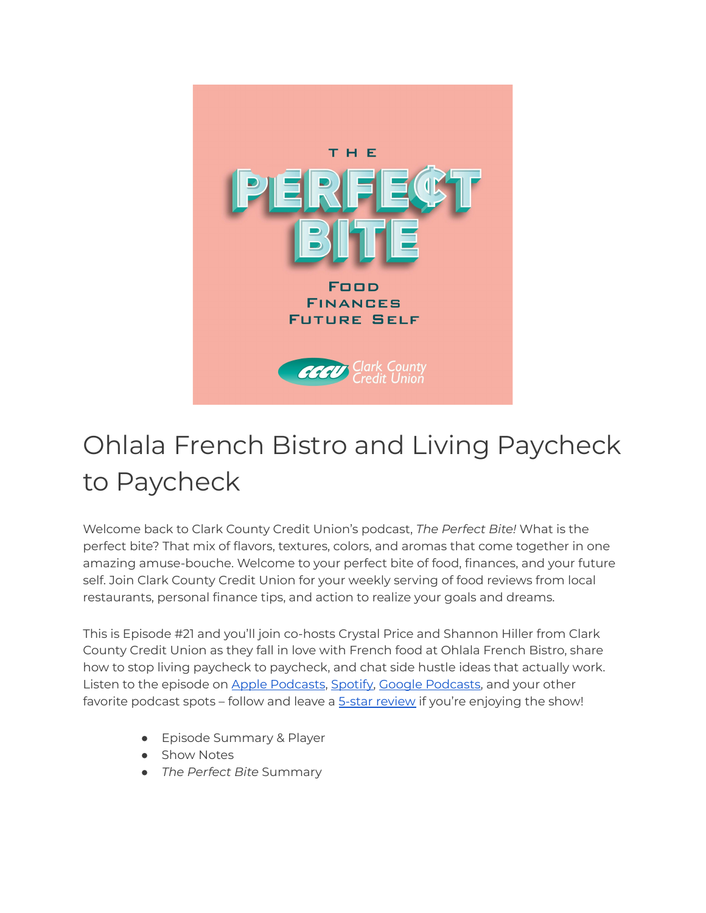

## Ohlala French Bistro and Living Paycheck to Paycheck

Welcome back to Clark County Credit Union's podcast, *The Perfect Bite!* What is the perfect bite? That mix of flavors, textures, colors, and aromas that come together in one amazing amuse-bouche. Welcome to your perfect bite of food, finances, and your future self. Join Clark County Credit Union for your weekly serving of food reviews from local restaurants, personal finance tips, and action to realize your goals and dreams.

This is Episode #21 and you'll join co-hosts Crystal Price and Shannon Hiller from Clark County Credit Union as they fall in love with French food at Ohlala French Bistro, share how to stop living paycheck to paycheck, and chat side hustle ideas that actually work. Listen to the episode on Apple [Podcasts](https://podcasts.apple.com/us/podcast/the-perfect-bite/id1604656448), [Spotify,](https://open.spotify.com/show/7tNPJZBNHabGWEFmjnHaxR?si=a0a7808911264628) Google [Podcasts,](https://podcasts.google.com/feed/aHR0cHM6Ly9wZXJmZWN0Yml0ZS5saWJzeW4uY29tL3Jzcw?sa=X&ved=0CAMQ4aUDahcKEwi47ZHlgPP1AhUAAAAAHQAAAAAQRA) and your other favorite podcast spots – follow and leave a 5-star [review](https://podcasts.apple.com/us/podcast/the-perfect-bite/id1604656448) if you're enjoying the show!

- Episode Summary & Player
- Show Notes
- *The Perfect Bite* Summary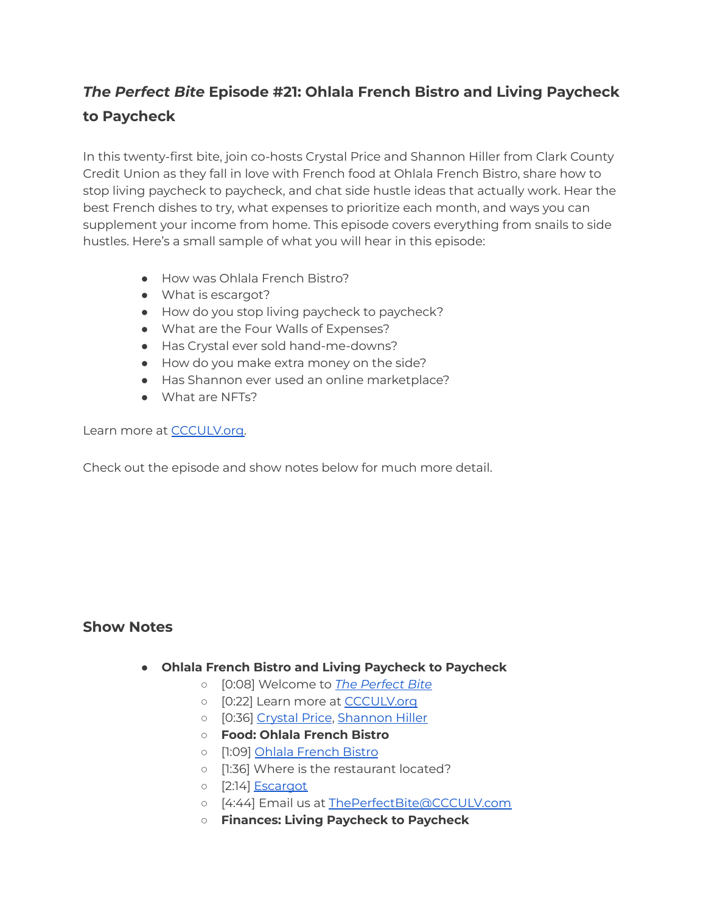## *The Perfect Bite* **Episode #21: Ohlala French Bistro and Living Paycheck to Paycheck**

In this twenty-first bite, join co-hosts Crystal Price and Shannon Hiller from Clark County Credit Union as they fall in love with French food at Ohlala French Bistro, share how to stop living paycheck to paycheck, and chat side hustle ideas that actually work. Hear the best French dishes to try, what expenses to prioritize each month, and ways you can supplement your income from home. This episode covers everything from snails to side hustles. Here's a small sample of what you will hear in this episode:

- How was Ohlala French Bistro?
- What is escargot?
- How do you stop living paycheck to paycheck?
- What are the Four Walls of Expenses?
- Has Crystal ever sold hand-me-downs?
- How do you make extra money on the side?
- Has Shannon ever used an online marketplace?
- What are NFTs?

Learn more at [CCCULV.org.](https://www.ccculv.org/)

Check out the episode and show notes below for much more detail.

## **Show Notes**

- **Ohlala French Bistro and Living Paycheck to Paycheck**
	- [0:08] Welcome to *[The Perfect Bite](https://www.ccculv.org/)*
	- o [0:22] Learn more at [CCCULV.org](https://www.ccculv.org/)
	- [0:36] [Crystal Price](https://www.ccculv.org/Our-Mission.aspx), [Shannon Hiller](https://www.ccculv.org/Our-Mission.aspx)
	- **○ Food: Ohlala French Bistro**
	- [1:09] [Ohlala French Bistro](https://www.ohlalafrenchbistro.com/)
	- [1:36] Where is the restaurant located?
	- [2:14] [Escargot](https://en.wikipedia.org/wiki/Escargot)
	- [4:44] Email us at [ThePerfectBite@CCCULV.com](mailto:ThePerfectBite@CCCULV.org)
	- **○ Finances: Living Paycheck to Paycheck**